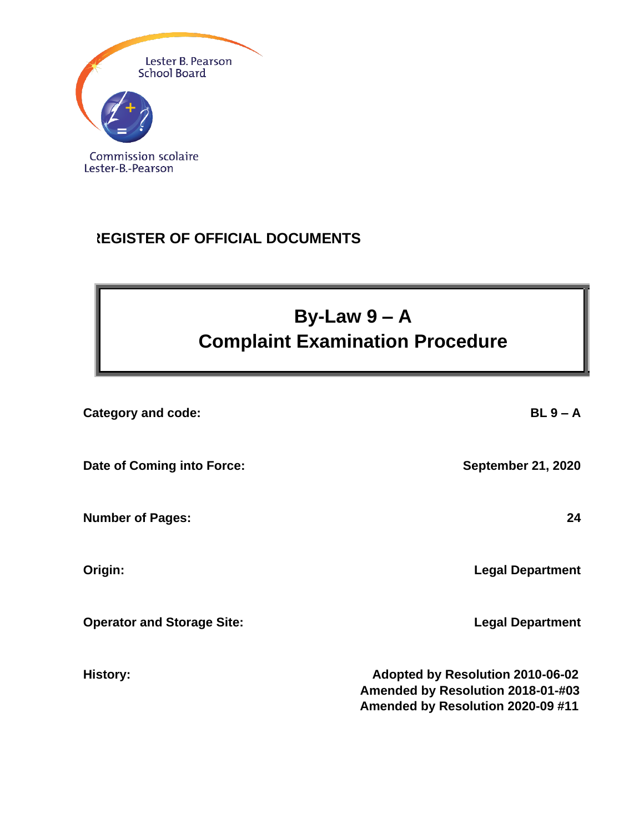

## **REGISTER OF OFFICIAL DOCUMENTS**

# **By-Law 9 – A Complaint Examination Procedure**

| <b>Category and code:</b>         | $BL 9 - A$                                                                                                 |
|-----------------------------------|------------------------------------------------------------------------------------------------------------|
| Date of Coming into Force:        | <b>September 21, 2020</b>                                                                                  |
| <b>Number of Pages:</b>           | 24                                                                                                         |
| Origin:                           | <b>Legal Department</b>                                                                                    |
| <b>Operator and Storage Site:</b> | <b>Legal Department</b>                                                                                    |
| <b>History:</b>                   | Adopted by Resolution 2010-06-02<br>Amended by Resolution 2018-01-#03<br>Amended by Resolution 2020-09 #11 |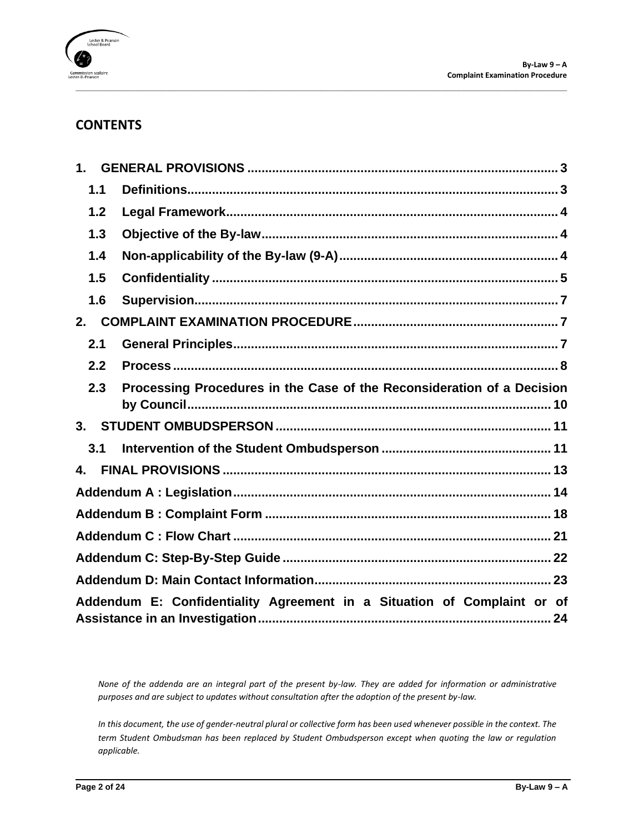

## **CONTENTS**

| 1 <sub>1</sub> |                                                                         |
|----------------|-------------------------------------------------------------------------|
| 1.1            |                                                                         |
| 1.2            |                                                                         |
| 1.3            |                                                                         |
| 1.4            |                                                                         |
| 1.5            |                                                                         |
| 1.6            |                                                                         |
| 2.             |                                                                         |
| 2.1            |                                                                         |
| 2.2            |                                                                         |
| 2.3            | Processing Procedures in the Case of the Reconsideration of a Decision  |
|                |                                                                         |
|                |                                                                         |
| 3.1            |                                                                         |
| $\mathbf{A}$   |                                                                         |
|                |                                                                         |
|                |                                                                         |
|                |                                                                         |
|                |                                                                         |
|                |                                                                         |
|                | Addendum E: Confidentiality Agreement in a Situation of Complaint or of |

\_\_\_\_\_\_\_\_\_\_\_\_\_\_\_\_\_\_\_\_\_\_\_\_\_\_\_\_\_\_\_\_\_\_\_\_\_\_\_\_\_\_\_\_\_\_\_\_\_\_\_\_\_\_\_\_\_\_\_\_\_\_\_\_\_\_\_\_\_\_\_\_\_\_\_\_\_\_\_\_\_\_\_\_\_\_\_\_\_\_\_\_\_\_\_\_\_\_\_\_\_\_\_\_\_\_\_\_\_\_\_\_\_\_\_\_\_\_\_\_\_\_\_\_\_\_\_\_\_\_\_\_\_\_\_\_\_\_\_\_\_\_\_\_\_\_\_\_\_\_\_\_\_\_\_\_\_\_\_\_\_\_\_\_\_\_\_\_

*None of the addenda are an integral part of the present by-law. They are added for information or administrative purposes and are subject to updates without consultation after the adoption of the present by-law.*

*In this document, the use of gender-neutral plural or collective form has been used whenever possible in the context. The term Student Ombudsman has been replaced by Student Ombudsperson except when quoting the law or regulation applicable.*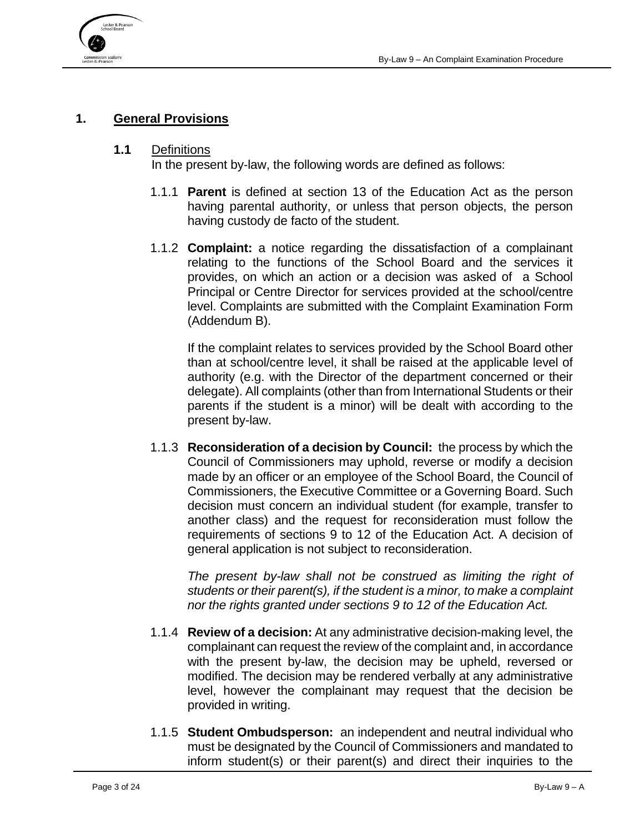

### <span id="page-2-0"></span>**1. General Provisions**

#### <span id="page-2-1"></span>**1.1** Definitions

In the present by-law, the following words are defined as follows:

- 1.1.1 **Parent** is defined at section 13 of the Education Act as the person having parental authority, or unless that person objects, the person having custody de facto of the student.
- 1.1.2 **Complaint:** a notice regarding the dissatisfaction of a complainant relating to the functions of the School Board and the services it provides, on which an action or a decision was asked of a School Principal or Centre Director for services provided at the school/centre level. Complaints are submitted with the Complaint Examination Form (Addendum B).

If the complaint relates to services provided by the School Board other than at school/centre level, it shall be raised at the applicable level of authority (e.g. with the Director of the department concerned or their delegate). All complaints (other than from International Students or their parents if the student is a minor) will be dealt with according to the present by-law.

1.1.3 **Reconsideration of a decision by Council:** the process by which the Council of Commissioners may uphold, reverse or modify a decision made by an officer or an employee of the School Board, the Council of Commissioners, the Executive Committee or a Governing Board. Such decision must concern an individual student (for example, transfer to another class) and the request for reconsideration must follow the requirements of sections 9 to 12 of the Education Act. A decision of general application is not subject to reconsideration.

*The present by-law shall not be construed as limiting the right of students or their parent(s), if the student is a minor, to make a complaint nor the rights granted under sections 9 to 12 of the Education Act.*

- 1.1.4 **Review of a decision:** At any administrative decision-making level, the complainant can request the review of the complaint and, in accordance with the present by-law, the decision may be upheld, reversed or modified. The decision may be rendered verbally at any administrative level, however the complainant may request that the decision be provided in writing.
- 1.1.5 **Student Ombudsperson:** an independent and neutral individual who must be designated by the Council of Commissioners and mandated to inform student(s) or their parent(s) and direct their inquiries to the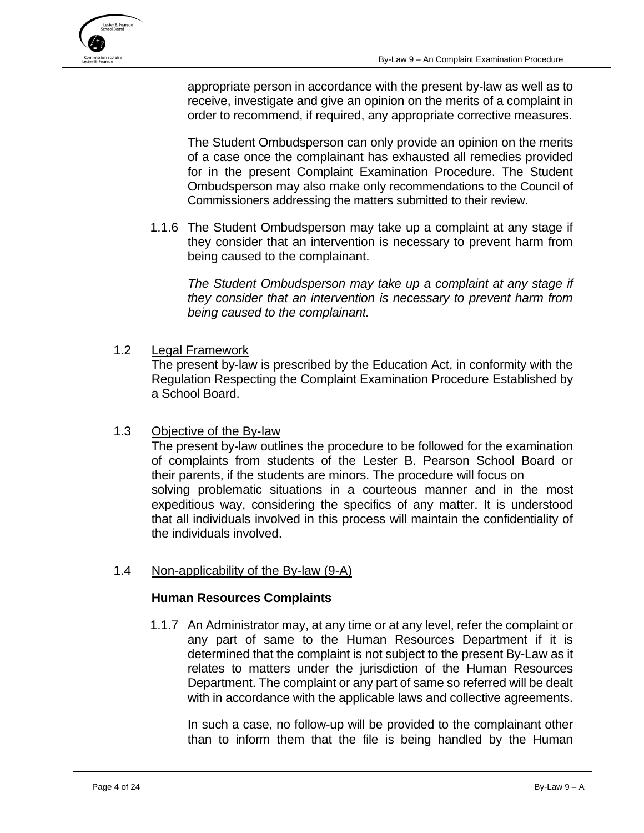

appropriate person in accordance with the present by-law as well as to receive, investigate and give an opinion on the merits of a complaint in order to recommend, if required, any appropriate corrective measures.

The Student Ombudsperson can only provide an opinion on the merits of a case once the complainant has exhausted all remedies provided for in the present Complaint Examination Procedure. The Student Ombudsperson may also make only recommendations to the Council of Commissioners addressing the matters submitted to their review.

1.1.6 The Student Ombudsperson may take up a complaint at any stage if they consider that an intervention is necessary to prevent harm from being caused to the complainant.

*The Student Ombudsperson may take up a complaint at any stage if they consider that an intervention is necessary to prevent harm from being caused to the complainant.*

<span id="page-3-0"></span>1.2 Legal Framework

The present by-law is prescribed by the Education Act, in conformity with the Regulation Respecting the Complaint Examination Procedure Established by a School Board.

<span id="page-3-1"></span>1.3 Objective of the By‐law

The present by-law outlines the procedure to be followed for the examination of complaints from students of the Lester B. Pearson School Board or their parents, if the students are minors. The procedure will focus on solving problematic situations in a courteous manner and in the most expeditious way, considering the specifics of any matter. It is understood that all individuals involved in this process will maintain the confidentiality of the individuals involved.

<span id="page-3-2"></span>1.4 Non-applicability of the By-law (9-A)

#### **Human Resources Complaints**

1.1.7 An Administrator may, at any time or at any level, refer the complaint or any part of same to the Human Resources Department if it is determined that the complaint is not subject to the present By-Law as it relates to matters under the jurisdiction of the Human Resources Department. The complaint or any part of same so referred will be dealt with in accordance with the applicable laws and collective agreements.

In such a case, no follow-up will be provided to the complainant other than to inform them that the file is being handled by the Human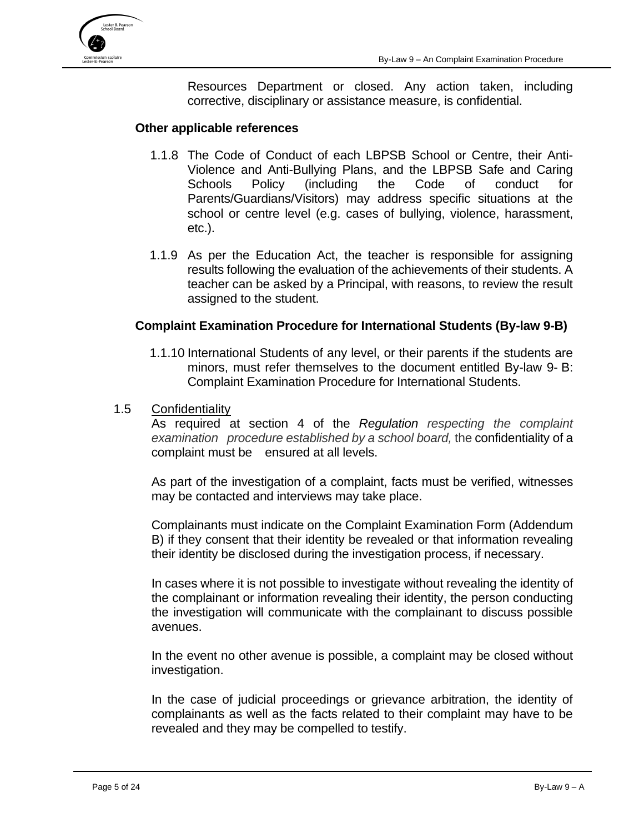

Resources Department or closed. Any action taken, including corrective, disciplinary or assistance measure, is confidential.

#### **Other applicable references**

- 1.1.8 The Code of Conduct of each LBPSB School or Centre, their Anti-Violence and Anti-Bullying Plans, and the LBPSB Safe and Caring Schools Policy (including the Code of conduct for Parents/Guardians/Visitors) may address specific situations at the school or centre level (e.g. cases of bullying, violence, harassment, etc.).
- 1.1.9 As per the Education Act, the teacher is responsible for assigning results following the evaluation of the achievements of their students. A teacher can be asked by a Principal, with reasons, to review the result assigned to the student.

#### **Complaint Examination Procedure for International Students (By-law 9-B)**

- 1.1.10 International Students of any level, or their parents if the students are minors, must refer themselves to the document entitled By-law 9- B: Complaint Examination Procedure for International Students.
- <span id="page-4-0"></span>1.5 Confidentiality

As required at section 4 of the *Regulation respecting the complaint examination procedure established by a school board,* the confidentiality of a complaint must be ensured at all levels.

As part of the investigation of a complaint, facts must be verified, witnesses may be contacted and interviews may take place.

Complainants must indicate on the Complaint Examination Form (Addendum B) if they consent that their identity be revealed or that information revealing their identity be disclosed during the investigation process, if necessary.

In cases where it is not possible to investigate without revealing the identity of the complainant or information revealing their identity, the person conducting the investigation will communicate with the complainant to discuss possible avenues.

In the event no other avenue is possible, a complaint may be closed without investigation.

In the case of judicial proceedings or grievance arbitration, the identity of complainants as well as the facts related to their complaint may have to be revealed and they may be compelled to testify.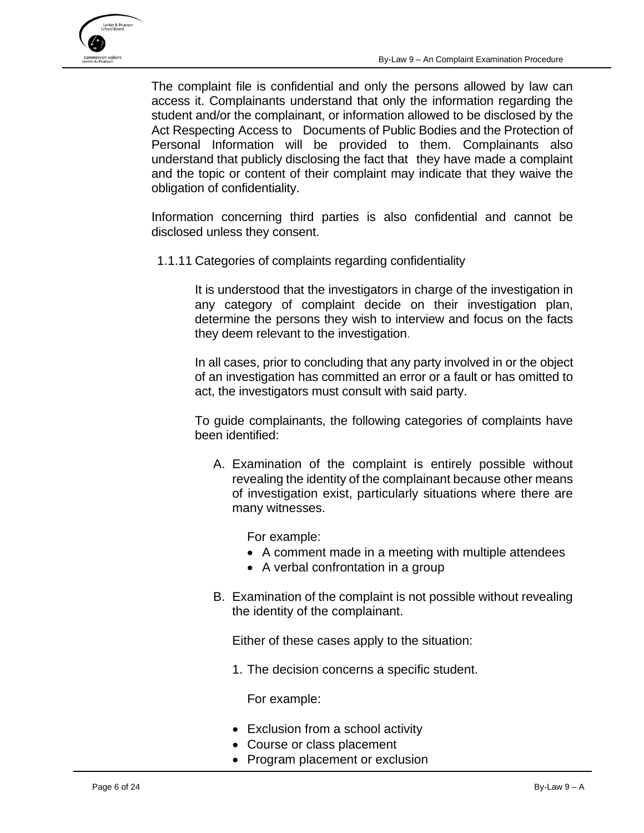

The complaint file is confidential and only the persons allowed by law can access it. Complainants understand that only the information regarding the student and/or the complainant, or information allowed to be disclosed by the Act Respecting Access to Documents of Public Bodies and the Protection of Personal Information will be provided to them. Complainants also understand that publicly disclosing the fact that they have made a complaint and the topic or content of their complaint may indicate that they waive the obligation of confidentiality.

Information concerning third parties is also confidential and cannot be disclosed unless they consent.

1.1.11 Categories of complaints regarding confidentiality

It is understood that the investigators in charge of the investigation in any category of complaint decide on their investigation plan, determine the persons they wish to interview and focus on the facts they deem relevant to the investigation.

In all cases, prior to concluding that any party involved in or the object of an investigation has committed an error or a fault or has omitted to act, the investigators must consult with said party.

To guide complainants, the following categories of complaints have been identified:

A. Examination of the complaint is entirely possible without revealing the identity of the complainant because other means of investigation exist, particularly situations where there are many witnesses.

For example:

- A comment made in a meeting with multiple attendees
- A verbal confrontation in a group
- B. Examination of the complaint is not possible without revealing the identity of the complainant.

Either of these cases apply to the situation:

1. The decision concerns a specific student.

For example:

- Exclusion from a school activity
- Course or class placement
- Program placement or exclusion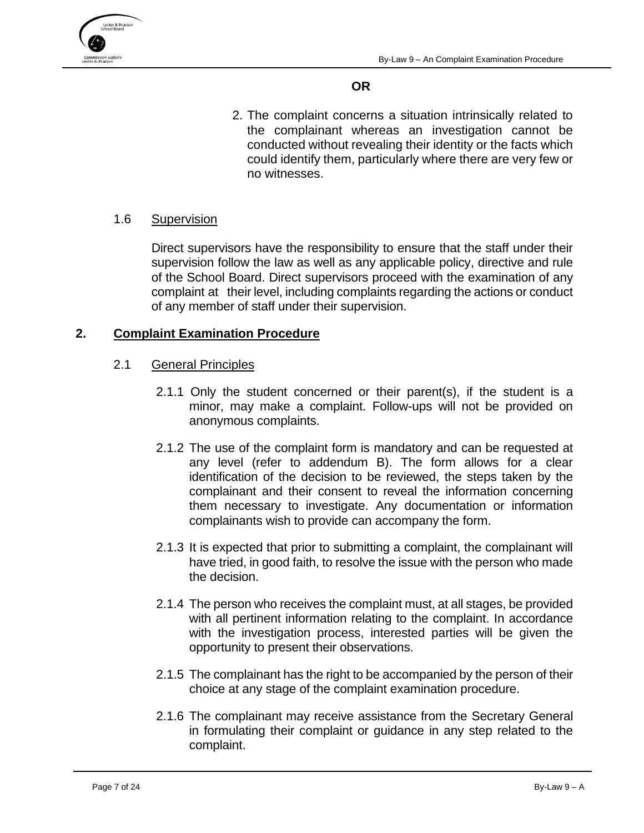



## **OR**

2. The complaint concerns a situation intrinsically related to the complainant whereas an investigation cannot be conducted without revealing their identity or the facts which could identify them, particularly where there are very few or no witnesses.

## <span id="page-6-0"></span>1.6 Supervision

Direct supervisors have the responsibility to ensure that the staff under their supervision follow the law as well as any applicable policy, directive and rule of the School Board. Direct supervisors proceed with the examination of any complaint at their level, including complaints regarding the actions or conduct of any member of staff under their supervision.

## <span id="page-6-2"></span><span id="page-6-1"></span>**2. Complaint Examination Procedure**

- 2.1 General Principles
	- 2.1.1 Only the student concerned or their parent(s), if the student is a minor, may make a complaint. Follow-ups will not be provided on anonymous complaints.
	- 2.1.2 The use of the complaint form is mandatory and can be requested at any level (refer to addendum B). The form allows for a clear identification of the decision to be reviewed, the steps taken by the complainant and their consent to reveal the information concerning them necessary to investigate. Any documentation or information complainants wish to provide can accompany the form.
	- 2.1.3 It is expected that prior to submitting a complaint, the complainant will have tried, in good faith, to resolve the issue with the person who made the decision.
	- 2.1.4 The person who receives the complaint must, at all stages, be provided with all pertinent information relating to the complaint. In accordance with the investigation process, interested parties will be given the opportunity to present their observations.
	- 2.1.5 The complainant has the right to be accompanied by the person of their choice at any stage of the complaint examination procedure.
	- 2.1.6 The complainant may receive assistance from the Secretary General in formulating their complaint or guidance in any step related to the complaint.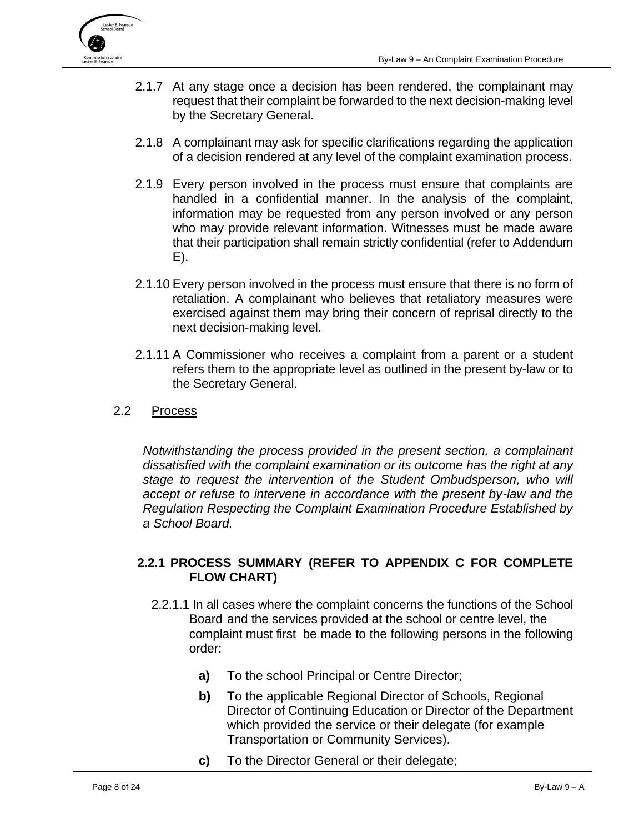

- 2.1.7 At any stage once a decision has been rendered, the complainant may request that their complaint be forwarded to the next decision-making level by the Secretary General.
- 2.1.8 A complainant may ask for specific clarifications regarding the application of a decision rendered at any level of the complaint examination process.
- 2.1.9 Every person involved in the process must ensure that complaints are handled in a confidential manner. In the analysis of the complaint, information may be requested from any person involved or any person who may provide relevant information. Witnesses must be made aware that their participation shall remain strictly confidential (refer to Addendum E).
- 2.1.10 Every person involved in the process must ensure that there is no form of retaliation. A complainant who believes that retaliatory measures were exercised against them may bring their concern of reprisal directly to the next decision-making level.
- 2.1.11 A Commissioner who receives a complaint from a parent or a student refers them to the appropriate level as outlined in the present by-law or to the Secretary General.
- <span id="page-7-0"></span>2.2 Process

*Notwithstanding the process provided in the present section, a complainant dissatisfied with the complaint examination or its outcome has the right at any stage to request the intervention of the Student Ombudsperson, who will accept or refuse to intervene in accordance with the present by-law and the Regulation Respecting the Complaint Examination Procedure Established by a School Board.*

#### **2.2.1 PROCESS SUMMARY (REFER TO APPENDIX C FOR COMPLETE FLOW CHART)**

- 2.2.1.1 In all cases where the complaint concerns the functions of the School Board and the services provided at the school or centre level, the complaint must first be made to the following persons in the following order:
	- **a)** To the school Principal or Centre Director;
	- **b)** To the applicable Regional Director of Schools, Regional Director of Continuing Education or Director of the Department which provided the service or their delegate (for example Transportation or Community Services).
	- **c)** To the Director General or their delegate;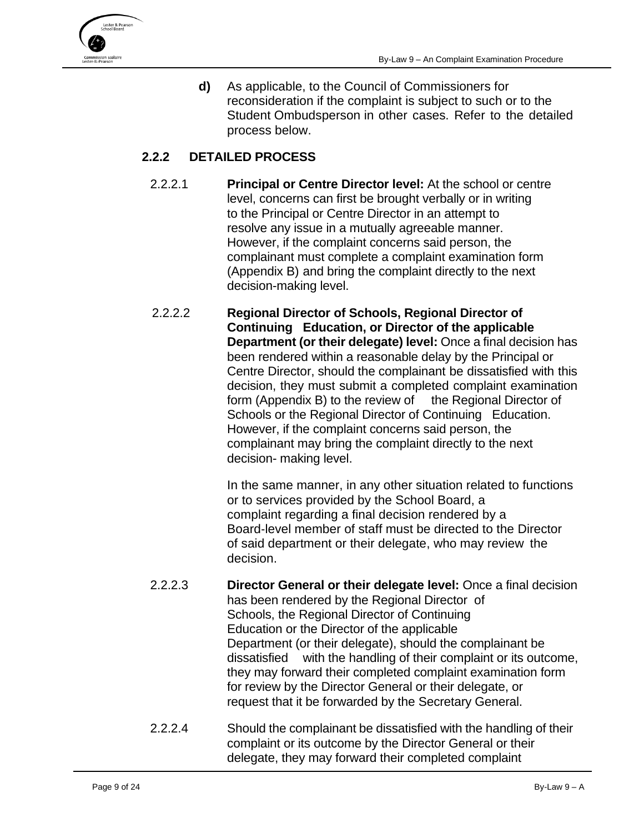

**d)** As applicable, to the Council of Commissioners for reconsideration if the complaint is subject to such or to the Student Ombudsperson in other cases. Refer to the detailed process below.

## **2.2.2 DETAILED PROCESS**

- 2.2.2.1 **Principal or Centre Director level:** At the school or centre level, concerns can first be brought verbally or in writing to the Principal or Centre Director in an attempt to resolve any issue in a mutually agreeable manner. However, if the complaint concerns said person, the complainant must complete a complaint examination form (Appendix B) and bring the complaint directly to the next decision-making level.
- 2.2.2.2 **Regional Director of Schools, Regional Director of Continuing Education, or Director of the applicable Department (or their delegate) level:** Once a final decision has been rendered within a reasonable delay by the Principal or Centre Director, should the complainant be dissatisfied with this decision, they must submit a completed complaint examination form (Appendix B) to the review of the Regional Director of Schools or the Regional Director of Continuing Education. However, if the complaint concerns said person, the complainant may bring the complaint directly to the next decision- making level.

In the same manner, in any other situation related to functions or to services provided by the School Board, a complaint regarding a final decision rendered by a Board‐level member of staff must be directed to the Director of said department or their delegate, who may review the decision.

- 2.2.2.3 **Director General or their delegate level:** Once a final decision has been rendered by the Regional Director of Schools, the Regional Director of Continuing Education or the Director of the applicable Department (or their delegate), should the complainant be dissatisfied with the handling of their complaint or its outcome, they may forward their completed complaint examination form for review by the Director General or their delegate, or request that it be forwarded by the Secretary General.
- 2.2.2.4 Should the complainant be dissatisfied with the handling of their complaint or its outcome by the Director General or their delegate, they may forward their completed complaint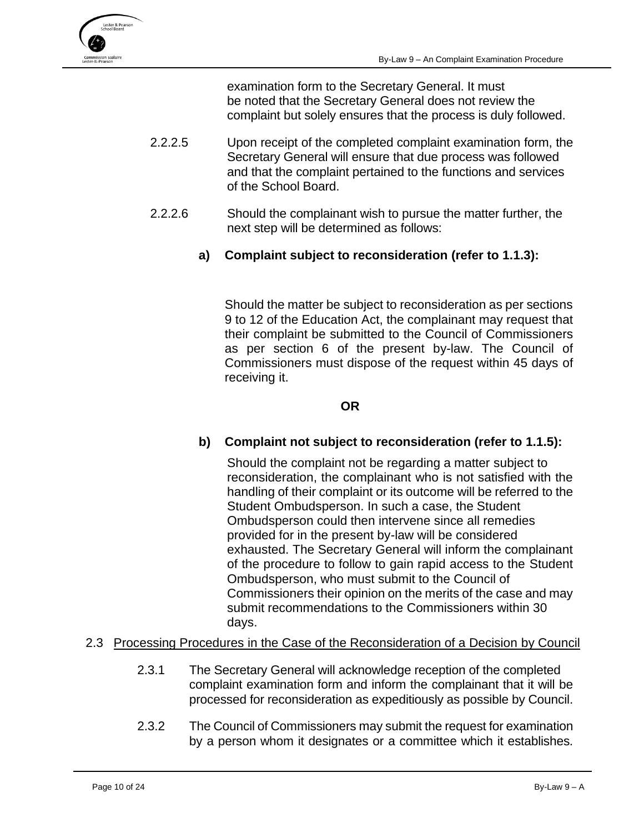

examination form to the Secretary General. It must be noted that the Secretary General does not review the complaint but solely ensures that the process is duly followed.

- 2.2.2.5 Upon receipt of the completed complaint examination form, the Secretary General will ensure that due process was followed and that the complaint pertained to the functions and services of the School Board.
- 2.2.2.6 Should the complainant wish to pursue the matter further, the next step will be determined as follows:
	- **a) Complaint subject to reconsideration (refer to 1.1.3):**

Should the matter be subject to reconsideration as per sections 9 to 12 of the Education Act, the complainant may request that their complaint be submitted to the Council of Commissioners as per section 6 of the present by-law. The Council of Commissioners must dispose of the request within 45 days of receiving it.

#### **OR**

## **b) Complaint not subject to reconsideration (refer to 1.1.5):**

Should the complaint not be regarding a matter subject to reconsideration, the complainant who is not satisfied with the handling of their complaint or its outcome will be referred to the Student Ombudsperson. In such a case, the Student Ombudsperson could then intervene since all remedies provided for in the present by-law will be considered exhausted. The Secretary General will inform the complainant of the procedure to follow to gain rapid access to the Student Ombudsperson, who must submit to the Council of Commissioners their opinion on the merits of the case and may submit recommendations to the Commissioners within 30 days.

#### <span id="page-9-0"></span>2.3 Processing Procedures in the Case of the Reconsideration of a Decision by Council

- 2.3.1 The Secretary General will acknowledge reception of the completed complaint examination form and inform the complainant that it will be processed for reconsideration as expeditiously as possible by Council.
- 2.3.2 The Council of Commissioners may submit the request for examination by a person whom it designates or a committee which it establishes.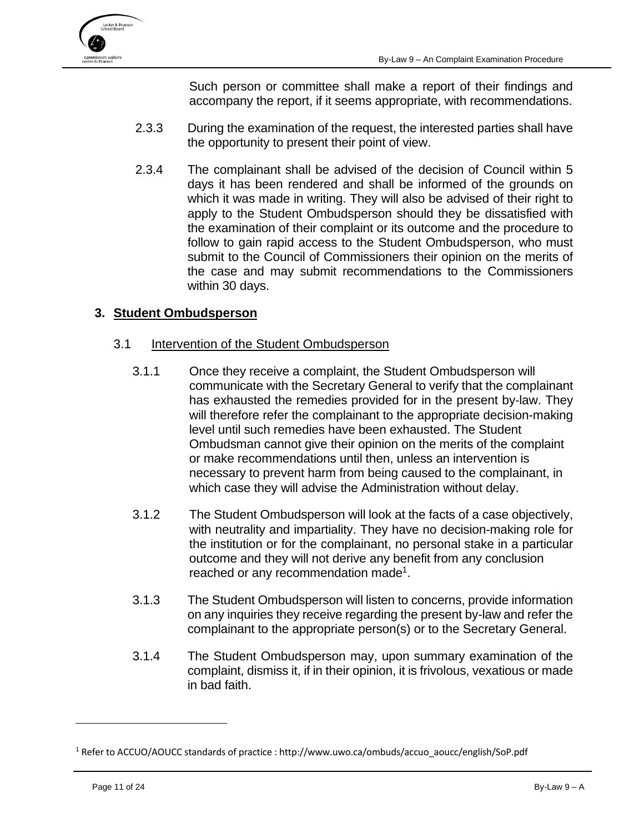

Such person or committee shall make a report of their findings and accompany the report, if it seems appropriate, with recommendations.

- 2.3.3 During the examination of the request, the interested parties shall have the opportunity to present their point of view.
- 2.3.4 The complainant shall be advised of the decision of Council within 5 days it has been rendered and shall be informed of the grounds on which it was made in writing. They will also be advised of their right to apply to the Student Ombudsperson should they be dissatisfied with the examination of their complaint or its outcome and the procedure to follow to gain rapid access to the Student Ombudsperson, who must submit to the Council of Commissioners their opinion on the merits of the case and may submit recommendations to the Commissioners within 30 days.

## <span id="page-10-1"></span><span id="page-10-0"></span>**3. Student Ombudsperson**

#### 3.1 Intervention of the Student Ombudsperson

- 3.1.1 Once they receive a complaint, the Student Ombudsperson will communicate with the Secretary General to verify that the complainant has exhausted the remedies provided for in the present by‐law. They will therefore refer the complainant to the appropriate decision-making level until such remedies have been exhausted. The Student Ombudsman cannot give their opinion on the merits of the complaint or make recommendations until then, unless an intervention is necessary to prevent harm from being caused to the complainant, in which case they will advise the Administration without delay.
- 3.1.2 The Student Ombudsperson will look at the facts of a case objectively, with neutrality and impartiality. They have no decision-making role for the institution or for the complainant, no personal stake in a particular outcome and they will not derive any benefit from any conclusion reached or any recommendation made<sup>1</sup>.
- 3.1.3 The Student Ombudsperson will listen to concerns, provide information on any inquiries they receive regarding the present by-law and refer the complainant to the appropriate person(s) or to the Secretary General.
- 3.1.4 The Student Ombudsperson may, upon summary examination of the complaint, dismiss it, if in their opinion, it is frivolous, vexatious or made in bad faith.

<sup>1</sup> Refer to ACCUO/AOUCC standards of practice : http://www.uwo.ca/ombuds/accuo\_aoucc/english/SoP.pdf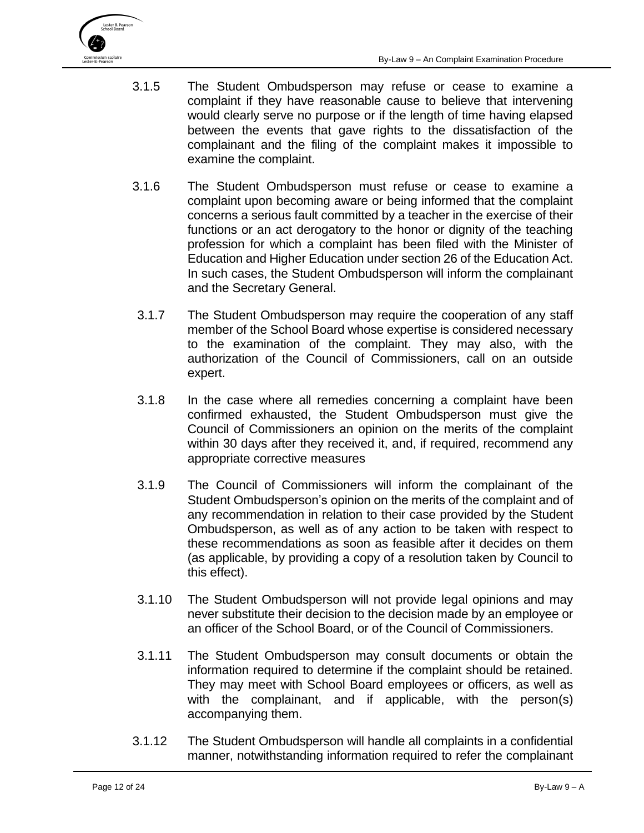

- 3.1.5 The Student Ombudsperson may refuse or cease to examine a complaint if they have reasonable cause to believe that intervening would clearly serve no purpose or if the length of time having elapsed between the events that gave rights to the dissatisfaction of the complainant and the filing of the complaint makes it impossible to examine the complaint.
- 3.1.6 The Student Ombudsperson must refuse or cease to examine a complaint upon becoming aware or being informed that the complaint concerns a serious fault committed by a teacher in the exercise of their functions or an act derogatory to the honor or dignity of the teaching profession for which a complaint has been filed with the Minister of Education and Higher Education under section 26 of the Education Act. In such cases, the Student Ombudsperson will inform the complainant and the Secretary General.
- 3.1.7 The Student Ombudsperson may require the cooperation of any staff member of the School Board whose expertise is considered necessary to the examination of the complaint. They may also, with the authorization of the Council of Commissioners, call on an outside expert.
- 3.1.8 In the case where all remedies concerning a complaint have been confirmed exhausted, the Student Ombudsperson must give the Council of Commissioners an opinion on the merits of the complaint within 30 days after they received it, and, if required, recommend any appropriate corrective measures
- 3.1.9 The Council of Commissioners will inform the complainant of the Student Ombudsperson's opinion on the merits of the complaint and of any recommendation in relation to their case provided by the Student Ombudsperson, as well as of any action to be taken with respect to these recommendations as soon as feasible after it decides on them (as applicable, by providing a copy of a resolution taken by Council to this effect).
- 3.1.10 The Student Ombudsperson will not provide legal opinions and may never substitute their decision to the decision made by an employee or an officer of the School Board, or of the Council of Commissioners.
- 3.1.11 The Student Ombudsperson may consult documents or obtain the information required to determine if the complaint should be retained. They may meet with School Board employees or officers, as well as with the complainant, and if applicable, with the person(s) accompanying them.
- 3.1.12 The Student Ombudsperson will handle all complaints in a confidential manner, notwithstanding information required to refer the complainant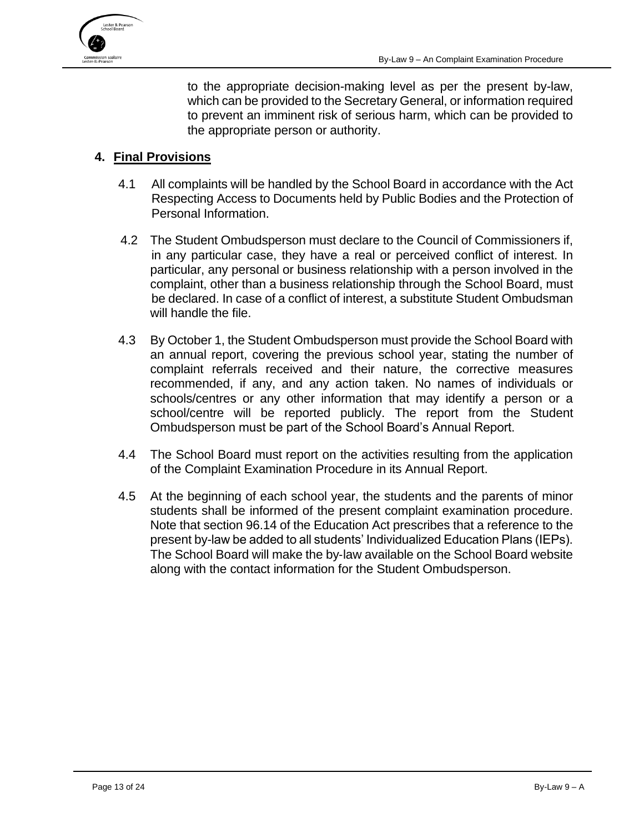

to the appropriate decision-making level as per the present by-law, which can be provided to the Secretary General, or information required to prevent an imminent risk of serious harm, which can be provided to the appropriate person or authority.

#### <span id="page-12-0"></span>**4. Final Provisions**

- 4.1 All complaints will be handled by the School Board in accordance with the Act Respecting Access to Documents held by Public Bodies and the Protection of Personal Information.
- 4.2 The Student Ombudsperson must declare to the Council of Commissioners if, in any particular case, they have a real or perceived conflict of interest. In particular, any personal or business relationship with a person involved in the complaint, other than a business relationship through the School Board, must be declared. In case of a conflict of interest, a substitute Student Ombudsman will handle the file.
- 4.3 By October 1, the Student Ombudsperson must provide the School Board with an annual report, covering the previous school year, stating the number of complaint referrals received and their nature, the corrective measures recommended, if any, and any action taken. No names of individuals or schools/centres or any other information that may identify a person or a school/centre will be reported publicly. The report from the Student Ombudsperson must be part of the School Board's Annual Report.
- 4.4 The School Board must report on the activities resulting from the application of the Complaint Examination Procedure in its Annual Report.
- 4.5 At the beginning of each school year, the students and the parents of minor students shall be informed of the present complaint examination procedure. Note that section 96.14 of the Education Act prescribes that a reference to the present by-law be added to all students' Individualized Education Plans (IEPs). The School Board will make the by‐law available on the School Board website along with the contact information for the Student Ombudsperson.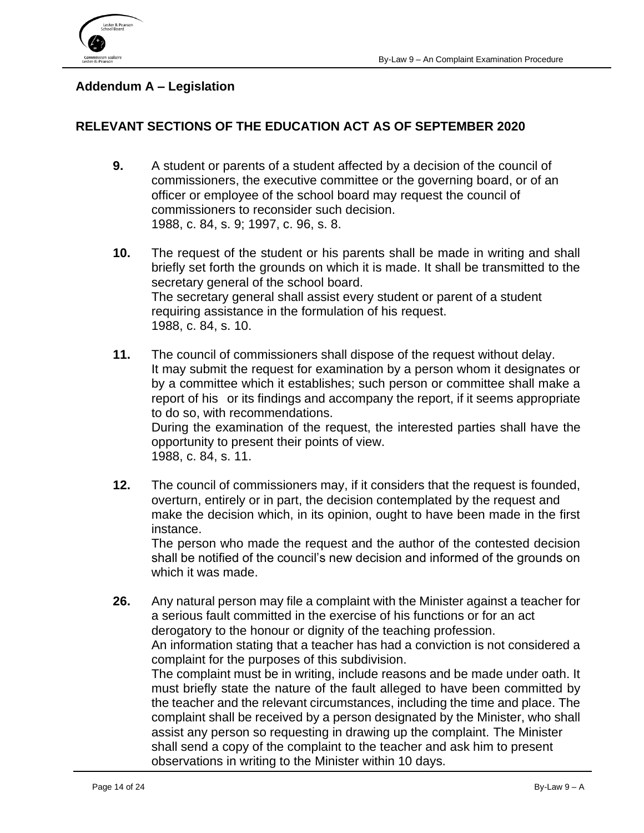

## <span id="page-13-0"></span>**Addendum A – Legislation**

## **RELEVANT SECTIONS OF THE EDUCATION ACT AS OF SEPTEMBER 2020**

- **[9.](javascript:displayOtherLang(%22se:9%22);)** A student or parents of a student affected by a decision of the council of commissioners, the executive committee or the governing board, or of an officer or employee of the school board may request the council of commissioners to reconsider such decision. 1988, c. 84, s. 9; 1997, c. 96, s. 8.
- **[10.](javascript:displayOtherLang(%22se:10%22);)** The request of the student or his parents shall be made in writing and shall briefly set forth the grounds on which it is made. It shall be transmitted to the secretary general of the school board. The secretary general shall assist every student or parent of a student requiring assistance in the formulation of his request. 1988, c. 84, s. 10.
- **[11.](javascript:displayOtherLang(%22se:11%22);)** The council of commissioners shall dispose of the request without delay. It may submit the request for examination by a person whom it designates or by a committee which it establishes; such person or committee shall make a report of his or its findings and accompany the report, if it seems appropriate to do so, with recommendations. During the examination of the request, the interested parties shall have the opportunity to present their points of view. 1988, c. 84, s. 11.
- **[12.](javascript:displayOtherLang(%22se:12%22);)** The council of commissioners may, if it considers that the request is founded, overturn, entirely or in part, the decision contemplated by the request and make the decision which, in its opinion, ought to have been made in the first instance. The person who made the request and the author of the contested decision

shall be notified of the council's new decision and informed of the grounds on which it was made.

**[26.](javascript:displayOtherLang(%22se:26%22);)** Any natural person may file a complaint with the Minister against a teacher for a serious fault committed in the exercise of his functions or for an act derogatory to the honour or dignity of the teaching profession. An information stating that a teacher has had a conviction is not considered a complaint for the purposes of this subdivision. The complaint must be in writing, include reasons and be made under oath. It must briefly state the nature of the fault alleged to have been committed by the teacher and the relevant circumstances, including the time and place. The complaint shall be received by a person designated by the Minister, who shall assist any person so requesting in drawing up the complaint. The Minister shall send a copy of the complaint to the teacher and ask him to present

observations in writing to the Minister within 10 days.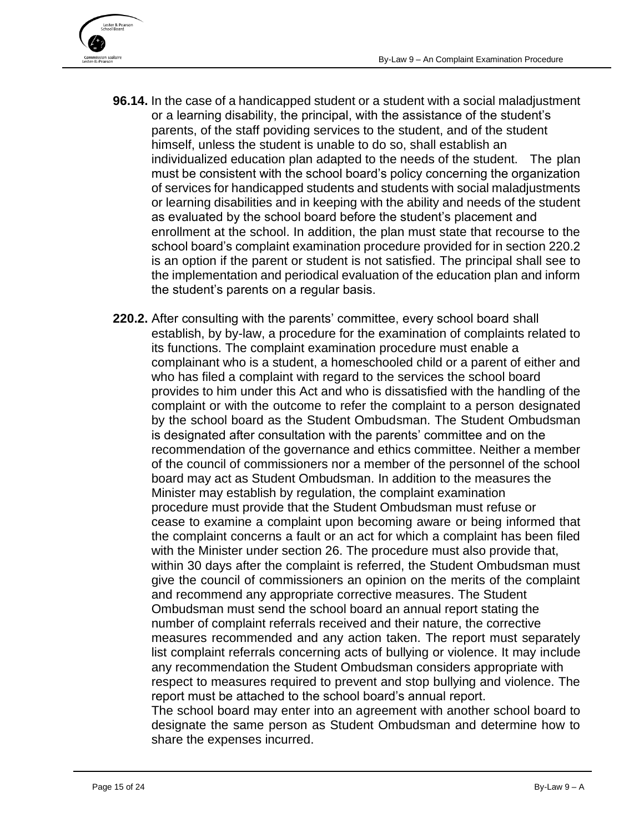

- **[96.14.](javascript:displayOtherLang(%22se:96_14%22);)** In the case of a handicapped student or a student with a social maladjustment or a learning disability, the principal, with the assistance of the student's parents, of the staff poviding services to the student, and of the student himself, unless the student is unable to do so, shall establish an individualized education plan adapted to the needs of the student. The plan must be consistent with the school board's policy concerning the organization of services for handicapped students and students with social maladjustments or learning disabilities and in keeping with the ability and needs of the student as evaluated by the school board before the student's placement and enrollment at the school. In addition, the plan must state that recourse to the school board's complaint examination procedure provided for in section 220.2 is an option if the parent or student is not satisfied. The principal shall see to the implementation and periodical evaluation of the education plan and inform the student's parents on a regular basis.
- **[220.2.](javascript:displayOtherLang(%22se:220_2%22);)** After consulting with the parents' committee, every school board shall establish, by by-law, a procedure for the examination of complaints related to its functions. The complaint examination procedure must enable a complainant who is a student, a homeschooled child or a parent of either and who has filed a complaint with regard to the services the school board provides to him under this Act and who is dissatisfied with the handling of the complaint or with the outcome to refer the complaint to a person designated by the school board as the Student Ombudsman. The Student Ombudsman is designated after consultation with the parents' committee and on the recommendation of the governance and ethics committee. Neither a member of the council of commissioners nor a member of the personnel of the school board may act as Student Ombudsman. In addition to the measures the Minister may establish by regulation, the complaint examination procedure must provide that the Student Ombudsman must refuse or cease to examine a complaint upon becoming aware or being informed that the complaint concerns a fault or an act for which a complaint has been filed with the Minister under section 26. The procedure must also provide that, within 30 days after the complaint is referred, the Student Ombudsman must give the council of commissioners an opinion on the merits of the complaint and recommend any appropriate corrective measures. The Student Ombudsman must send the school board an annual report stating the number of complaint referrals received and their nature, the corrective measures recommended and any action taken. The report must separately list complaint referrals concerning acts of bullying or violence. It may include any recommendation the Student Ombudsman considers appropriate with respect to measures required to prevent and stop bullying and violence. The report must be attached to the school board's annual report. The school board may enter into an agreement with another school board to

designate the same person as Student Ombudsman and determine how to share the expenses incurred.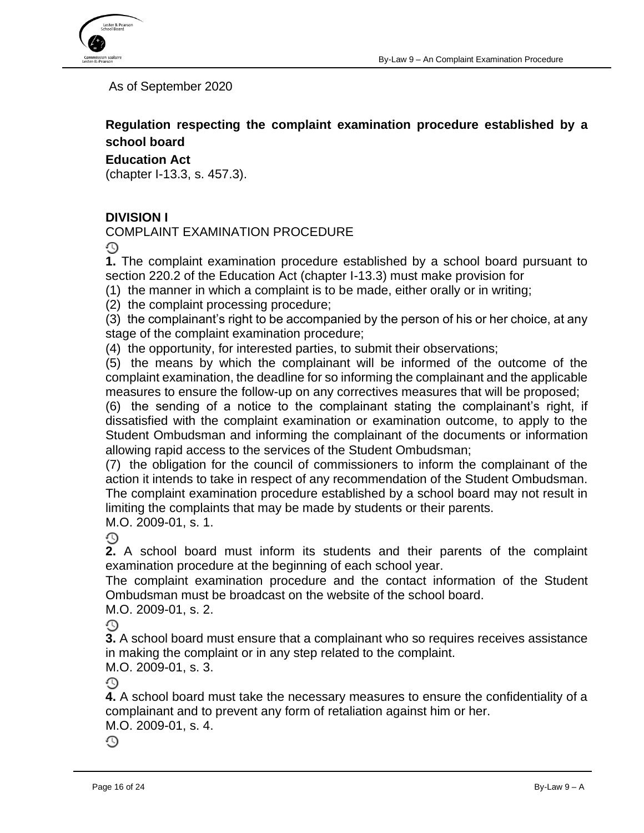

As of September 2020

**Regulation respecting the complaint examination procedure established by a school board**

**Education Act**

(chapter I-13.3, s. 457.3).

## **DIVISION I**

COMPLAINT EXAMINATION PROCEDURE

⊙

**[1.](javascript:displayOtherLang(%22se:1%22);)** The complaint examination procedure established by a school board pursuant to section 220.2 of the Education Act (chapter I-13.3) must make provision for

(1) the manner in which a complaint is to be made, either orally or in writing;

(2) the complaint processing procedure;

(3) the complainant's right to be accompanied by the person of his or her choice, at any stage of the complaint examination procedure;

(4) the opportunity, for interested parties, to submit their observations;

(5) the means by which the complainant will be informed of the outcome of the complaint examination, the deadline for so informing the complainant and the applicable measures to ensure the follow-up on any correctives measures that will be proposed;

(6) the sending of a notice to the complainant stating the complainant's right, if dissatisfied with the complaint examination or examination outcome, to apply to the Student Ombudsman and informing the complainant of the documents or information allowing rapid access to the services of the Student Ombudsman;

(7) the obligation for the council of commissioners to inform the complainant of the action it intends to take in respect of any recommendation of the Student Ombudsman. The complaint examination procedure established by a school board may not result in limiting the complaints that may be made by students or their parents. M.O. 2009-01, s. 1.

O

**[2.](javascript:displayOtherLang(%22se:2%22);)** A school board must inform its students and their parents of the complaint examination procedure at the beginning of each school year.

The complaint examination procedure and the contact information of the Student Ombudsman must be broadcast on the website of the school board.

M.O. 2009-01, s. 2.

⊙

**[3.](javascript:displayOtherLang(%22se:3%22);)** A school board must ensure that a complainant who so requires receives assistance in making the complaint or in any step related to the complaint.

M.O. 2009-01, s. 3.

⊙

**[4.](javascript:displayOtherLang(%22se:4%22);)** A school board must take the necessary measures to ensure the confidentiality of a complainant and to prevent any form of retaliation against him or her.

M.O. 2009-01, s. 4.

⊙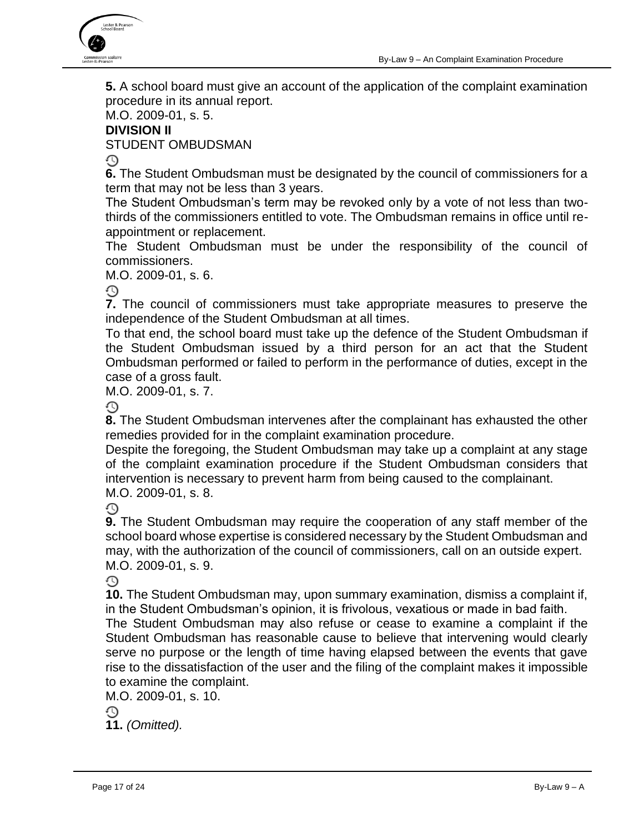

**[5.](javascript:displayOtherLang(%22se:5%22);)** A school board must give an account of the application of the complaint examination procedure in its annual report.

#### M.O. 2009-01, s. 5. **DIVISION II**

STUDENT OMBUDSMAN

 $\mathbb{C}$ 

**[6.](javascript:displayOtherLang(%22se:6%22);)** The Student Ombudsman must be designated by the council of commissioners for a term that may not be less than 3 years.

The Student Ombudsman's term may be revoked only by a vote of not less than twothirds of the commissioners entitled to vote. The Ombudsman remains in office until reappointment or replacement.

The Student Ombudsman must be under the responsibility of the council of commissioners.

M.O. 2009-01, s. 6.

**[7.](javascript:displayOtherLang(%22se:7%22);)** The council of commissioners must take appropriate measures to preserve the independence of the Student Ombudsman at all times.

To that end, the school board must take up the defence of the Student Ombudsman if the Student Ombudsman issued by a third person for an act that the Student Ombudsman performed or failed to perform in the performance of duties, except in the case of a gross fault.

M.O. 2009-01, s. 7.

⊕

**[8.](javascript:displayOtherLang(%22se:8%22);)** The Student Ombudsman intervenes after the complainant has exhausted the other remedies provided for in the complaint examination procedure.

Despite the foregoing, the Student Ombudsman may take up a complaint at any stage of the complaint examination procedure if the Student Ombudsman considers that intervention is necessary to prevent harm from being caused to the complainant. M.O. 2009-01, s. 8.

⊙

**[9.](javascript:displayOtherLang(%22se:9%22);)** The Student Ombudsman may require the cooperation of any staff member of the school board whose expertise is considered necessary by the Student Ombudsman and may, with the authorization of the council of commissioners, call on an outside expert. M.O. 2009-01, s. 9.

⊕

**[10.](javascript:displayOtherLang(%22se:10%22);)** The Student Ombudsman may, upon summary examination, dismiss a complaint if, in the Student Ombudsman's opinion, it is frivolous, vexatious or made in bad faith.

The Student Ombudsman may also refuse or cease to examine a complaint if the Student Ombudsman has reasonable cause to believe that intervening would clearly serve no purpose or the length of time having elapsed between the events that gave rise to the dissatisfaction of the user and the filing of the complaint makes it impossible to examine the complaint.

M.O. 2009-01, s. 10.

⊙

**[11.](javascript:displayOtherLang(%22se:11%22);)** *(Omitted).*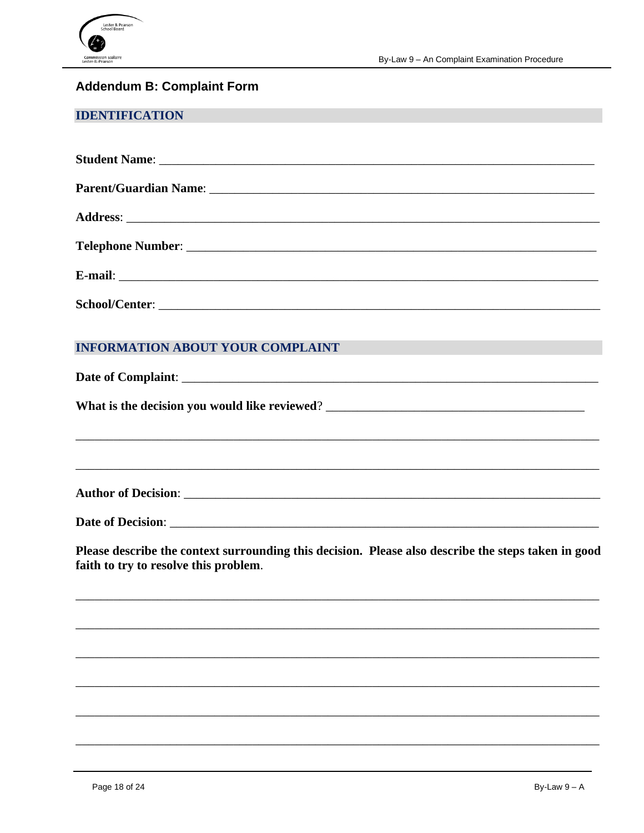

## <span id="page-17-0"></span>**Addendum B: Complaint Form**

#### **IDENTIFICATION**

| Student Name: <u>Name:</u> Name: 2008. All 2008. All 2008. All 2009. All 2009. All 2009. All 2009. All 2009. All 2009. All 2009. All 2009. All 2009. All 2009. All 2009. All 2009. All 2009. All 2009. All 2009. All 2009. All 2009 |  |  |
|-------------------------------------------------------------------------------------------------------------------------------------------------------------------------------------------------------------------------------------|--|--|
|                                                                                                                                                                                                                                     |  |  |
|                                                                                                                                                                                                                                     |  |  |
|                                                                                                                                                                                                                                     |  |  |
|                                                                                                                                                                                                                                     |  |  |
|                                                                                                                                                                                                                                     |  |  |

#### **INFORMATION ABOUT YOUR COMPLAINT**

**Author of Decision:** 

Date of Decision:

Please describe the context surrounding this decision. Please also describe the steps taken in good faith to try to resolve this problem.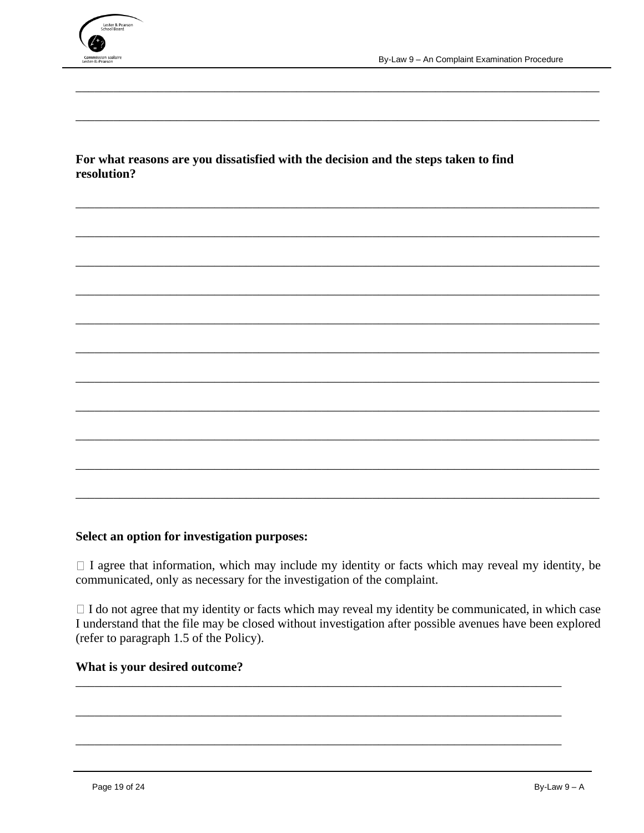

For what reasons are you dissatisfied with the decision and the steps taken to find resolution?

#### Select an option for investigation purposes:

 $\Box$  I agree that information, which may include my identity or facts which may reveal my identity, be communicated, only as necessary for the investigation of the complaint.

 $\Box$  I do not agree that my identity or facts which may reveal my identity be communicated, in which case I understand that the file may be closed without investigation after possible avenues have been explored (refer to paragraph 1.5 of the Policy).

#### What is your desired outcome?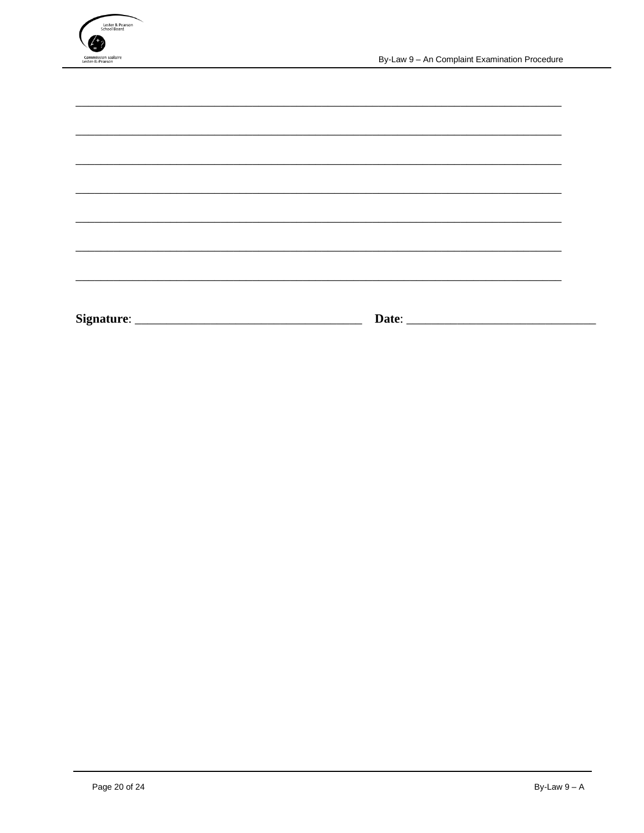

| <b>Signature:</b><br>Date: |  |
|----------------------------|--|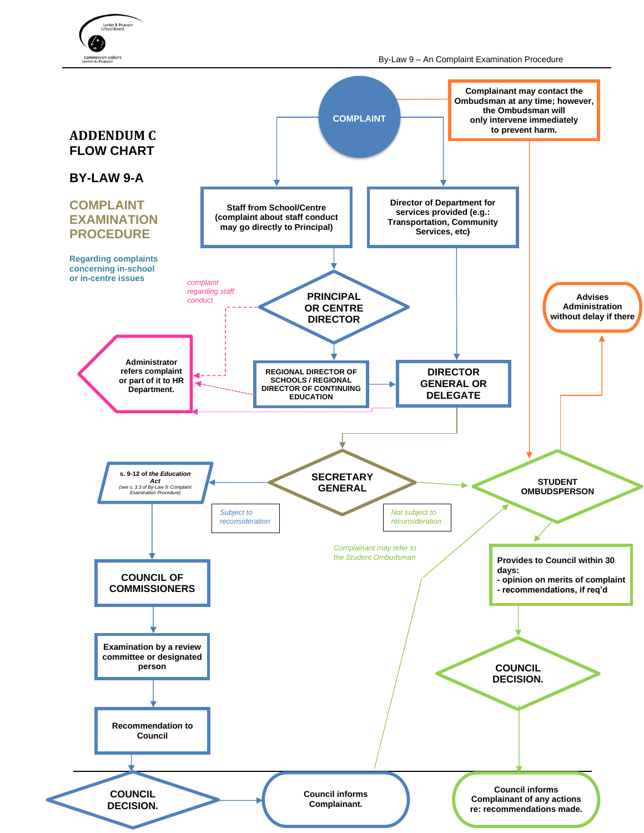

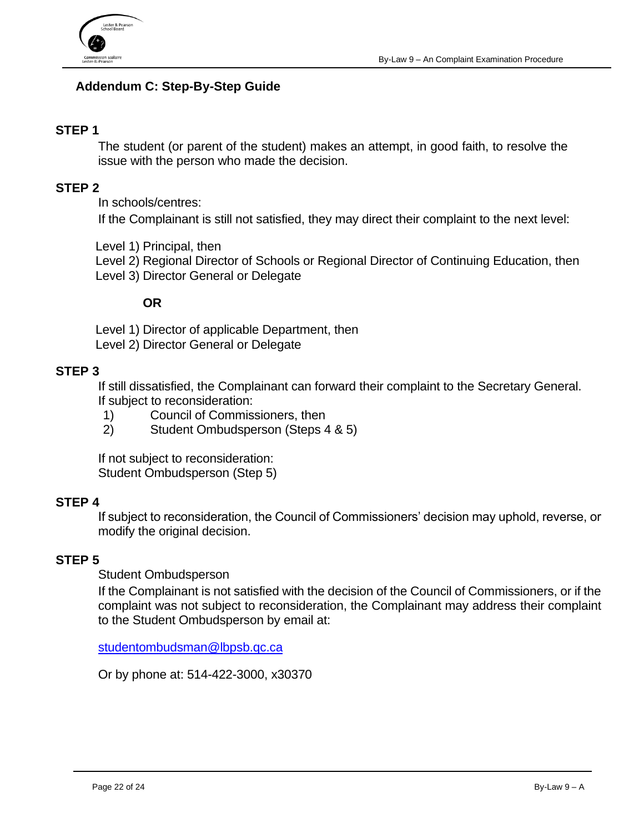

## <span id="page-21-0"></span>**Addendum C: Step-By-Step Guide**

#### **STEP 1**

The student (or parent of the student) makes an attempt, in good faith, to resolve the issue with the person who made the decision.

#### **STEP 2**

In schools/centres:

If the Complainant is still not satisfied, they may direct their complaint to the next level:

Level 1) Principal, then

Level 2) Regional Director of Schools or Regional Director of Continuing Education, then Level 3) Director General or Delegate

#### **OR**

Level 1) Director of applicable Department, then Level 2) Director General or Delegate

#### **STEP 3**

If still dissatisfied, the Complainant can forward their complaint to the Secretary General. If subject to reconsideration:

- 1) Council of Commissioners, then
- 2) Student Ombudsperson (Steps 4 & 5)

If not subject to reconsideration: Student Ombudsperson (Step 5)

#### **STEP 4**

If subject to reconsideration, the Council of Commissioners' decision may uphold, reverse, or modify the original decision.

## **STEP 5**

Student Ombudsperson

If the Complainant is not satisfied with the decision of the Council of Commissioners, or if the complaint was not subject to reconsideration, the Complainant may address their complaint to the Student Ombudsperson by email at:

[studentombudsman@lbpsb.qc.ca](mailto:studentombudsman@lbpsb.qc.ca)

Or by phone at: 514-422-3000, x30370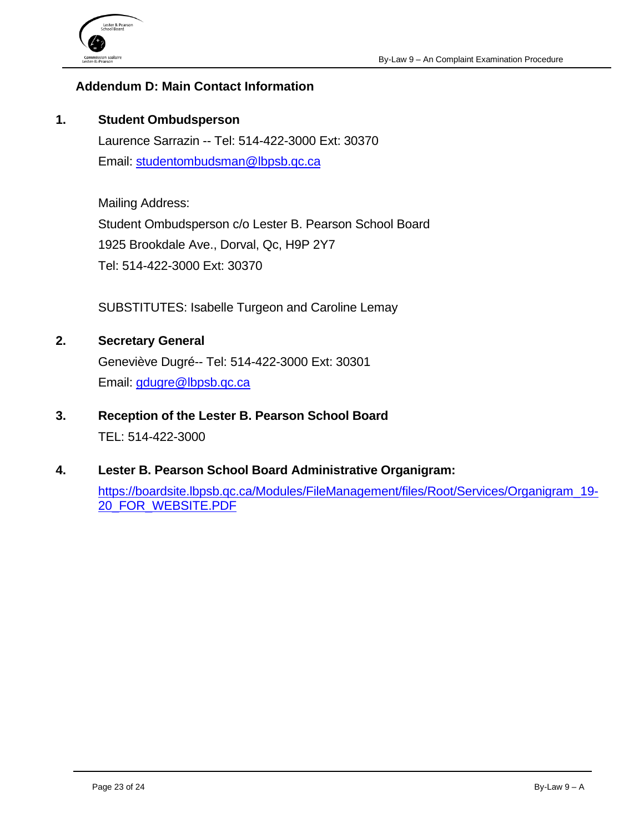

#### <span id="page-22-0"></span>**Addendum D: Main Contact Information**

#### **1. Student Ombudsperson**

Laurence Sarrazin -- Tel: 514-422-3000 Ext: 30370 Email: [studentombudsman@lbpsb.qc.ca](mailto:studentombudsman@lbpsb.qc.ca)

Mailing Address: Student Ombudsperson c/o Lester B. Pearson School Board 1925 Brookdale Ave., Dorval, Qc, H9P 2Y7 Tel: 514-422-3000 Ext: 30370

SUBSTITUTES: Isabelle Turgeon and Caroline Lemay

- **2. Secretary General** Geneviève Dugré-- Tel: 514-422-3000 Ext: 30301 Email: [gdugre@lbpsb.qc.ca](mailto:gdugre@lbpsb.qc.ca)
- **3. Reception of the Lester B. Pearson School Board**  TEL: 514-422-3000
- **4. Lester B. Pearson School Board Administrative Organigram:**

[https://boardsite.lbpsb.qc.ca/Modules/FileManagement/files/Root/Services/Organigram\\_19-](https://boardsite.lbpsb.qc.ca/Modules/FileManagement/files/Root/Services/Organigram_19-20_FOR_WEBSITE.PDF) [20\\_FOR\\_WEBSITE.PDF](https://boardsite.lbpsb.qc.ca/Modules/FileManagement/files/Root/Services/Organigram_19-20_FOR_WEBSITE.PDF)